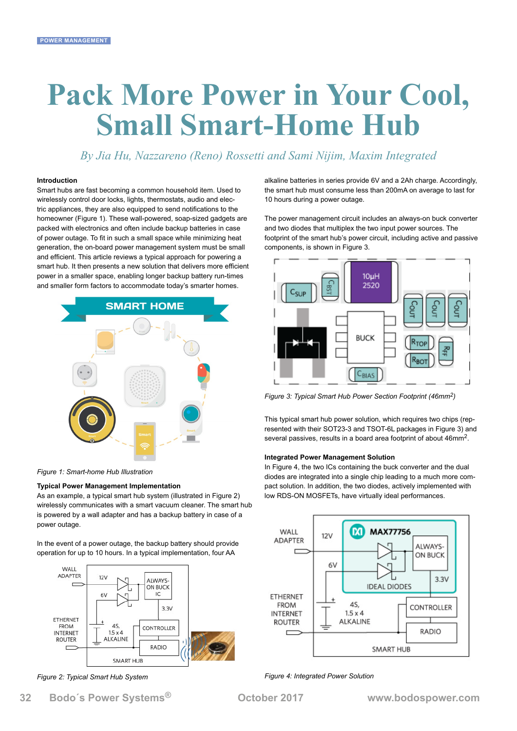# **Pack More Power in Your Cool, Small Smart-Home Hub**

*By Jia Hu, Nazzareno (Reno) Rossetti and Sami Nijim, Maxim Integrated*

### **Introduction**

Smart hubs are fast becoming a common household item. Used to wirelessly control door locks, lights, thermostats, audio and electric appliances, they are also equipped to send notifications to the homeowner (Figure 1). These wall-powered, soap-sized gadgets are packed with electronics and often include backup batteries in case of power outage. To fit in such a small space while minimizing heat generation, the on-board power management system must be small and efficient. This article reviews a typical approach for powering a smart hub. It then presents a new solution that delivers more efficient power in a smaller space, enabling longer backup battery run-times and smaller form factors to accommodate today's smarter homes.



*Figure 1: Smart-home Hub Illustration*

#### **Typical Power Management Implementation**

As an example, a typical smart hub system (illustrated in Figure 2) wirelessly communicates with a smart vacuum cleaner. The smart hub is powered by a wall adapter and has a backup battery in case of a power outage.

In the event of a power outage, the backup battery should provide operation for up to 10 hours. In a typical implementation, four AA



*Figure 2: Typical Smart Hub System*

alkaline batteries in series provide 6V and a 2Ah charge. Accordingly, the smart hub must consume less than 200mA on average to last for 10 hours during a power outage.

The power management circuit includes an always-on buck converter and two diodes that multiplex the two input power sources. The footprint of the smart hub's power circuit, including active and passive components, is shown in Figure 3.



*Figure 3: Typical Smart Hub Power Section Footprint (46mm2)*

This typical smart hub power solution, which requires two chips (represented with their SOT23-3 and TSOT-6L packages in Figure 3) and several passives, results in a board area footprint of about 46mm2.

#### **Integrated Power Management Solution**

In Figure 4, the two ICs containing the buck converter and the dual diodes are integrated into a single chip leading to a much more compact solution. In addition, the two diodes, actively implemented with low RDS-ON MOSFETs, have virtually ideal performances.



*Figure 4: Integrated Power Solution*